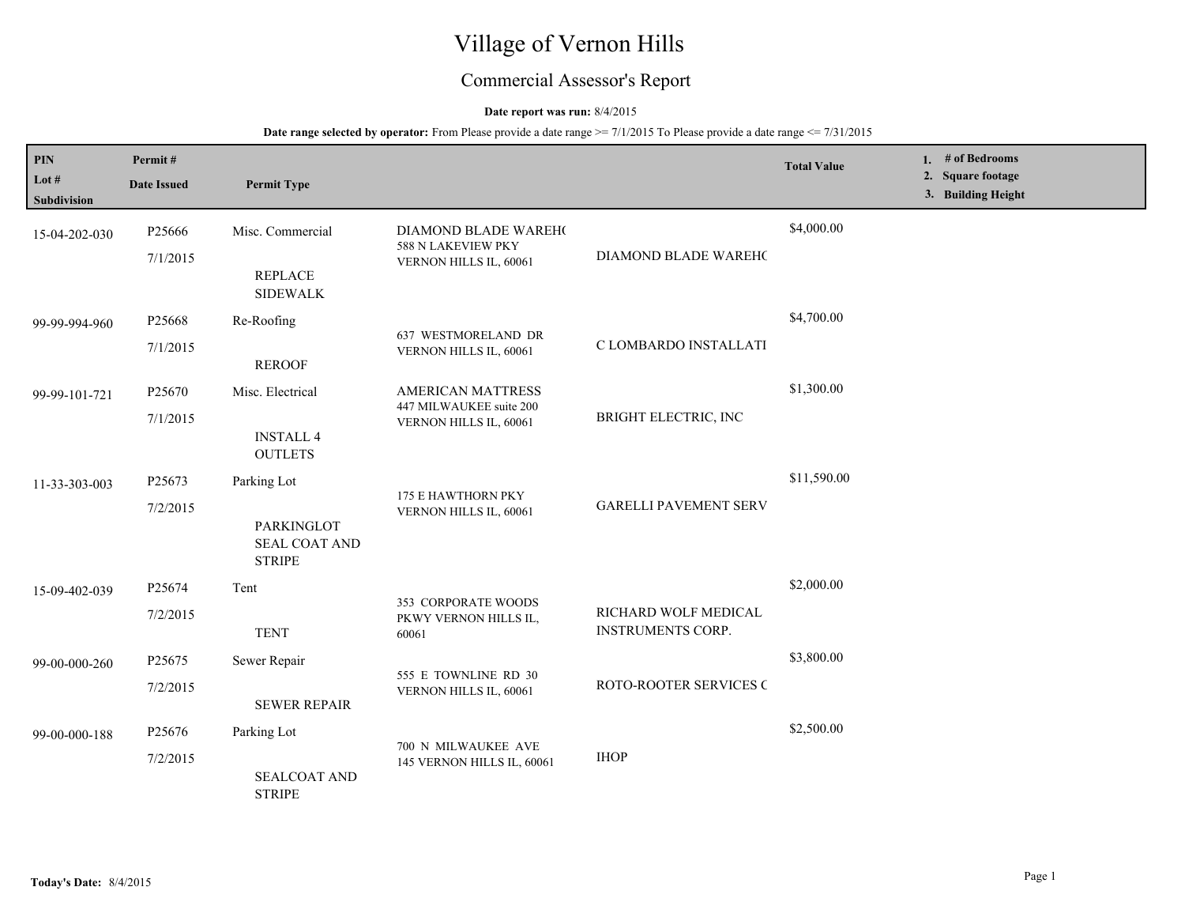# Village of Vernon Hills

## Commercial Assessor's Report

## **Date report was run:** 8/4/2015

| PIN<br>Lot $#$                      | Permit#<br><b>Date Issued</b>  | <b>Permit Type</b>                                                 |                                                                        |                                                  | <b>Total Value</b> | 1. $#$ of Bedrooms<br>2. Square footage<br>3. Building Height |
|-------------------------------------|--------------------------------|--------------------------------------------------------------------|------------------------------------------------------------------------|--------------------------------------------------|--------------------|---------------------------------------------------------------|
| <b>Subdivision</b><br>15-04-202-030 | P25666<br>7/1/2015             | Misc. Commercial<br><b>REPLACE</b><br><b>SIDEWALK</b>              | DIAMOND BLADE WAREH(<br>588 N LAKEVIEW PKY<br>VERNON HILLS IL, 60061   | DIAMOND BLADE WAREHO                             | \$4,000.00         |                                                               |
| 99-99-994-960                       | P <sub>25668</sub><br>7/1/2015 | Re-Roofing<br><b>REROOF</b>                                        | 637 WESTMORELAND DR<br>VERNON HILLS IL, 60061                          | C LOMBARDO INSTALLATI                            | \$4,700.00         |                                                               |
| 99-99-101-721                       | P25670<br>7/1/2015             | Misc. Electrical<br><b>INSTALL 4</b><br><b>OUTLETS</b>             | AMERICAN MATTRESS<br>447 MILWAUKEE suite 200<br>VERNON HILLS IL, 60061 | BRIGHT ELECTRIC, INC                             | \$1,300.00         |                                                               |
| 11-33-303-003                       | P25673<br>7/2/2015             | Parking Lot<br>PARKINGLOT<br><b>SEAL COAT AND</b><br><b>STRIPE</b> | 175 E HAWTHORN PKY<br>VERNON HILLS IL, 60061                           | <b>GARELLI PAVEMENT SERV</b>                     | \$11,590.00        |                                                               |
| 15-09-402-039                       | P25674<br>7/2/2015             | Tent<br><b>TENT</b>                                                | 353 CORPORATE WOODS<br>PKWY VERNON HILLS IL,<br>60061                  | RICHARD WOLF MEDICAL<br><b>INSTRUMENTS CORP.</b> | \$2,000.00         |                                                               |
| 99-00-000-260                       | P25675<br>7/2/2015             | Sewer Repair<br><b>SEWER REPAIR</b>                                | 555 E TOWNLINE RD 30<br>VERNON HILLS IL, 60061                         | ROTO-ROOTER SERVICES C                           | \$3,800.00         |                                                               |
| 99-00-000-188                       | P <sub>25676</sub><br>7/2/2015 | Parking Lot<br><b>SEALCOAT AND</b><br><b>STRIPE</b>                | 700 N MILWAUKEE AVE<br>145 VERNON HILLS IL, 60061                      | <b>IHOP</b>                                      | \$2,500.00         |                                                               |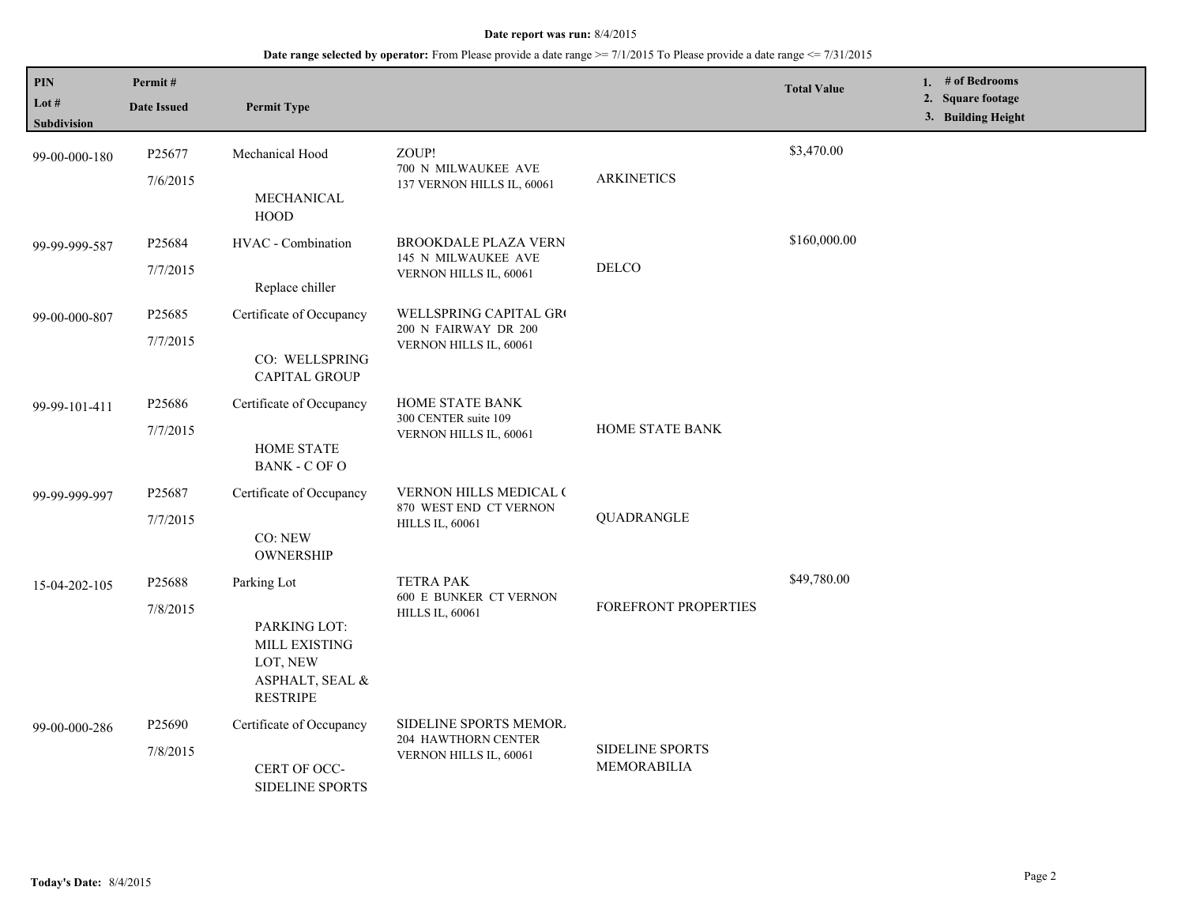| PIN<br>Lot #<br><b>Subdivision</b> | Permit#<br><b>Date Issued</b>  | <b>Permit Type</b>                                                                             |                                                                                   |                                | <b>Total Value</b> | 1. # of Bedrooms<br>2. Square footage<br>3. Building Height |
|------------------------------------|--------------------------------|------------------------------------------------------------------------------------------------|-----------------------------------------------------------------------------------|--------------------------------|--------------------|-------------------------------------------------------------|
| 99-00-000-180                      | P25677<br>7/6/2015             | Mechanical Hood<br>MECHANICAL<br><b>HOOD</b>                                                   | ZOUP!<br>700 N MILWAUKEE AVE<br>137 VERNON HILLS IL, 60061                        | <b>ARKINETICS</b>              | \$3,470.00         |                                                             |
| 99-99-999-587                      | P25684<br>7/7/2015             | HVAC - Combination<br>Replace chiller                                                          | <b>BROOKDALE PLAZA VERN</b><br>145 N MILWAUKEE AVE<br>VERNON HILLS IL, 60061      | <b>DELCO</b>                   | \$160,000.00       |                                                             |
| 99-00-000-807                      | P25685<br>7/7/2015             | Certificate of Occupancy<br>CO: WELLSPRING<br><b>CAPITAL GROUP</b>                             | WELLSPRING CAPITAL GRO<br>200 N FAIRWAY DR 200<br>VERNON HILLS IL, 60061          |                                |                    |                                                             |
| 99-99-101-411                      | P <sub>25686</sub><br>7/7/2015 | Certificate of Occupancy<br>HOME STATE<br><b>BANK - C OF O</b>                                 | HOME STATE BANK<br>300 CENTER suite 109<br>VERNON HILLS IL, 60061                 | HOME STATE BANK                |                    |                                                             |
| 99-99-999-997                      | P25687<br>7/7/2015             | Certificate of Occupancy<br>CO: NEW<br><b>OWNERSHIP</b>                                        | <b>VERNON HILLS MEDICAL (</b><br>870 WEST END CT VERNON<br><b>HILLS IL, 60061</b> | QUADRANGLE                     |                    |                                                             |
| 15-04-202-105                      | P25688<br>7/8/2015             | Parking Lot<br>PARKING LOT:<br>MILL EXISTING<br>LOT, NEW<br>ASPHALT, SEAL &<br><b>RESTRIPE</b> | <b>TETRA PAK</b><br><b>600 E BUNKER CT VERNON</b><br><b>HILLS IL, 60061</b>       | FOREFRONT PROPERTIES           | \$49,780.00        |                                                             |
| 99-00-000-286                      | P <sub>25690</sub><br>7/8/2015 | Certificate of Occupancy<br>CERT OF OCC-<br>SIDELINE SPORTS                                    | SIDELINE SPORTS MEMOR.<br><b>204 HAWTHORN CENTER</b><br>VERNON HILLS IL, 60061    | SIDELINE SPORTS<br>MEMORABILIA |                    |                                                             |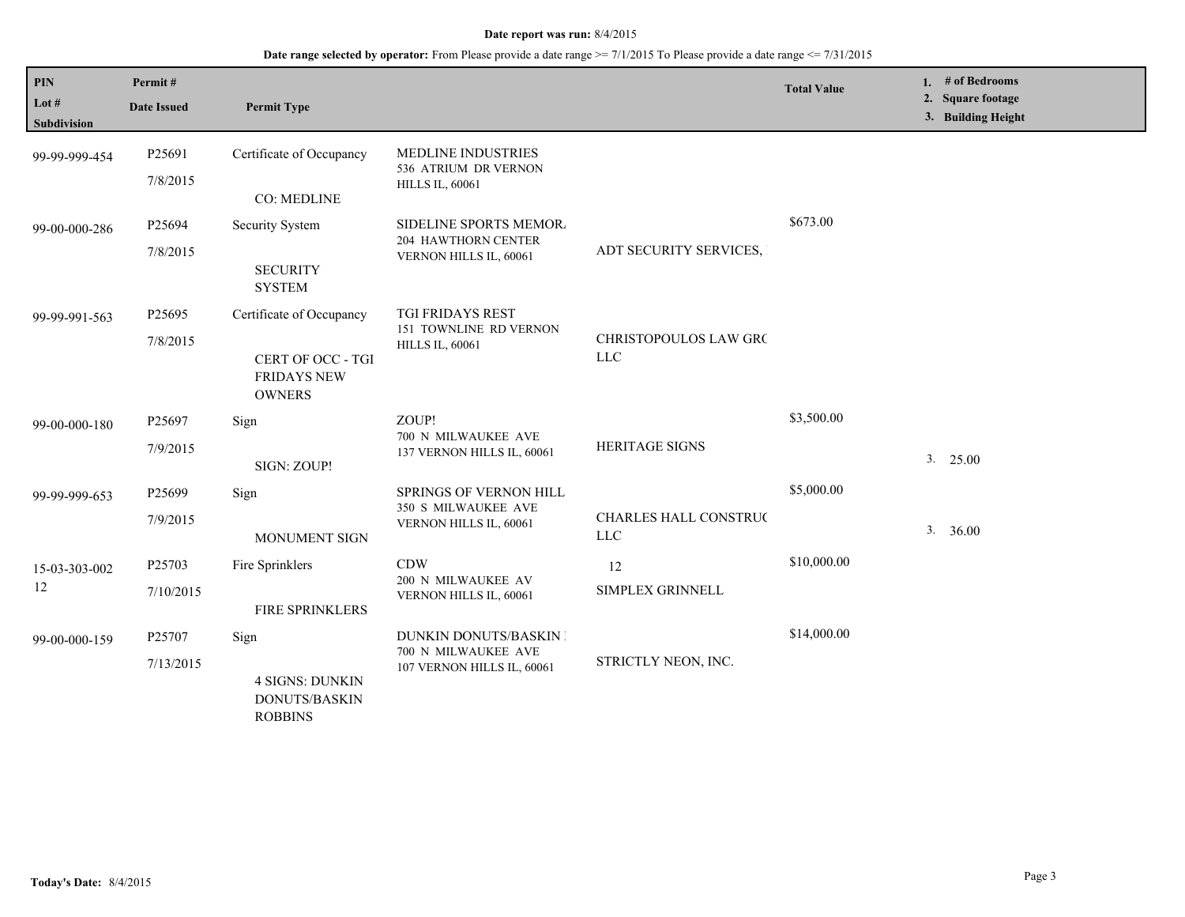| PIN<br>Lot #<br><b>Subdivision</b> | Permit#<br><b>Date Issued</b> | <b>Permit Type</b>                                                                   |                                                                             |                                      | <b>Total Value</b> |    | 1. # of Bedrooms<br>2. Square footage<br>3. Building Height |
|------------------------------------|-------------------------------|--------------------------------------------------------------------------------------|-----------------------------------------------------------------------------|--------------------------------------|--------------------|----|-------------------------------------------------------------|
| 99-99-999-454                      | P25691<br>7/8/2015            | Certificate of Occupancy<br><b>CO: MEDLINE</b>                                       | MEDLINE INDUSTRIES<br>536 ATRIUM DR VERNON<br><b>HILLS IL, 60061</b>        |                                      |                    |    |                                                             |
| 99-00-000-286                      | P25694<br>7/8/2015            | Security System<br><b>SECURITY</b><br><b>SYSTEM</b>                                  | SIDELINE SPORTS MEMOR.<br>204 HAWTHORN CENTER<br>VERNON HILLS IL, 60061     | ADT SECURITY SERVICES,               | \$673.00           |    |                                                             |
| 99-99-991-563                      | P25695<br>7/8/2015            | Certificate of Occupancy<br>CERT OF OCC - TGI<br><b>FRIDAYS NEW</b><br><b>OWNERS</b> | TGI FRIDAYS REST<br>151 TOWNLINE RD VERNON<br><b>HILLS IL, 60061</b>        | CHRISTOPOULOS LAW GRC<br>${\rm LLC}$ |                    |    |                                                             |
| 99-00-000-180                      | P25697<br>7/9/2015            | Sign<br>SIGN: ZOUP!                                                                  | ZOUP!<br>700 N MILWAUKEE AVE<br>137 VERNON HILLS IL, 60061                  | <b>HERITAGE SIGNS</b>                | \$3,500.00         | 3. | 25.00                                                       |
| 99-99-999-653                      | P25699<br>7/9/2015            | Sign<br>MONUMENT SIGN                                                                | SPRINGS OF VERNON HILL<br>350 S MILWAUKEE AVE<br>VERNON HILLS IL, 60061     | CHARLES HALL CONSTRUC<br>${\rm LLC}$ | \$5,000.00         | 3. | 36.00                                                       |
| 15-03-303-002<br>12                | P25703<br>7/10/2015           | Fire Sprinklers<br>FIRE SPRINKLERS                                                   | <b>CDW</b><br>200 N MILWAUKEE AV<br>VERNON HILLS IL, 60061                  | 12<br>SIMPLEX GRINNELL               | \$10,000.00        |    |                                                             |
| 99-00-000-159                      | P25707<br>7/13/2015           | Sign<br><b>4 SIGNS: DUNKIN</b><br><b>DONUTS/BASKIN</b><br><b>ROBBINS</b>             | DUNKIN DONUTS/BASKIN I<br>700 N MILWAUKEE AVE<br>107 VERNON HILLS IL, 60061 | STRICTLY NEON, INC.                  | \$14,000.00        |    |                                                             |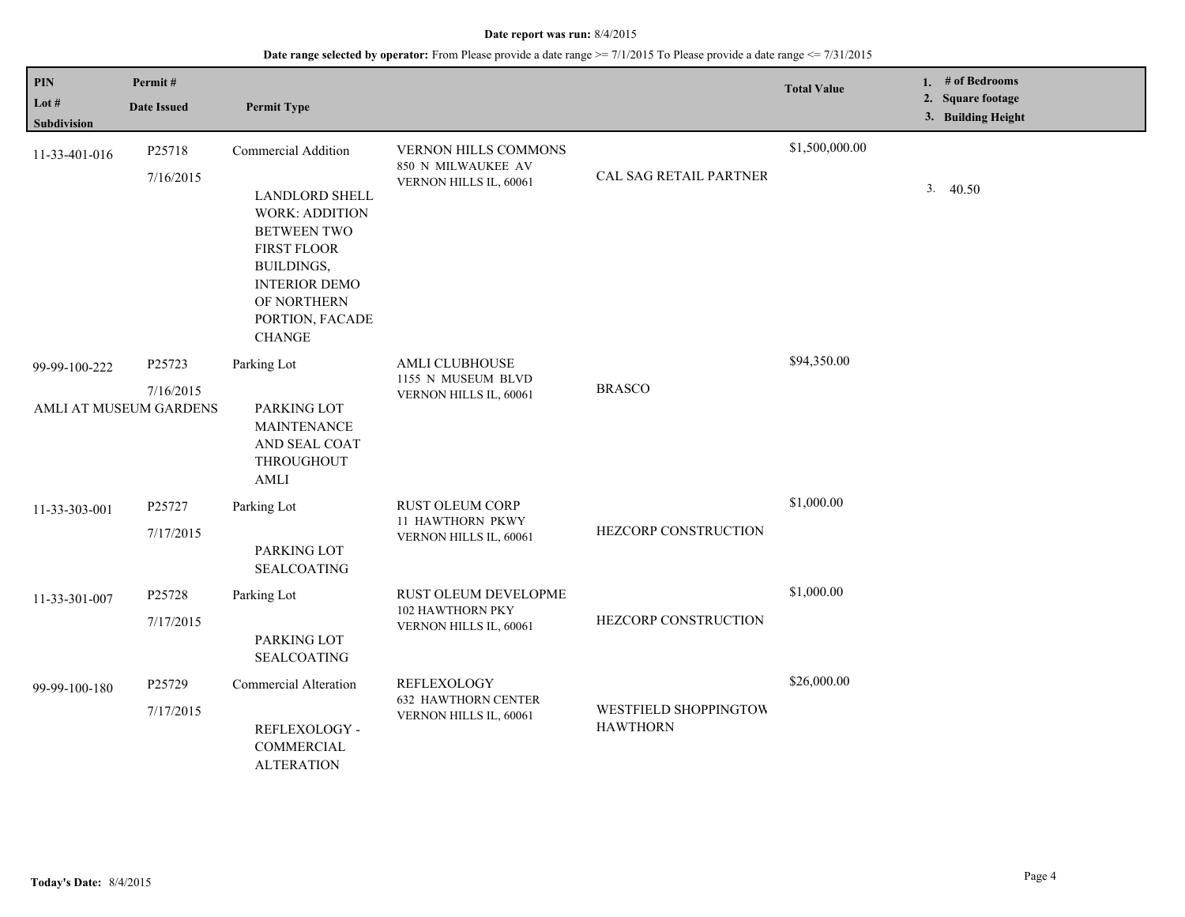| <b>PIN</b><br>Lot #<br>Subdivision | Permit#<br><b>Date Issued</b>                 | <b>Permit Type</b>                                                                                                                                                                                                |                                                                       |                                          | <b>Total Value</b> | 1. # of Bedrooms<br>2. Square footage<br>3. Building Height |
|------------------------------------|-----------------------------------------------|-------------------------------------------------------------------------------------------------------------------------------------------------------------------------------------------------------------------|-----------------------------------------------------------------------|------------------------------------------|--------------------|-------------------------------------------------------------|
| 11-33-401-016                      | P25718<br>7/16/2015                           | Commercial Addition<br><b>LANDLORD SHELL</b><br><b>WORK: ADDITION</b><br><b>BETWEEN TWO</b><br><b>FIRST FLOOR</b><br><b>BUILDINGS,</b><br><b>INTERIOR DEMO</b><br>OF NORTHERN<br>PORTION, FACADE<br><b>CHANGE</b> | VERNON HILLS COMMONS<br>850 N MILWAUKEE AV<br>VERNON HILLS IL, 60061  | CAL SAG RETAIL PARTNER                   | \$1,500,000.00     | 3.<br>40.50                                                 |
| 99-99-100-222                      | P25723<br>7/16/2015<br>AMLI AT MUSEUM GARDENS | Parking Lot<br>PARKING LOT<br><b>MAINTENANCE</b><br>AND SEAL COAT<br>THROUGHOUT<br><b>AMLI</b>                                                                                                                    | <b>AMLI CLUBHOUSE</b><br>1155 N MUSEUM BLVD<br>VERNON HILLS IL, 60061 | <b>BRASCO</b>                            | \$94,350.00        |                                                             |
| 11-33-303-001                      | P25727<br>7/17/2015                           | Parking Lot<br>PARKING LOT<br><b>SEALCOATING</b>                                                                                                                                                                  | RUST OLEUM CORP<br>11 HAWTHORN PKWY<br>VERNON HILLS IL, 60061         | HEZCORP CONSTRUCTION                     | \$1,000.00         |                                                             |
| 11-33-301-007                      | P25728<br>7/17/2015                           | Parking Lot<br>PARKING LOT<br><b>SEALCOATING</b>                                                                                                                                                                  | RUST OLEUM DEVELOPME<br>102 HAWTHORN PKY<br>VERNON HILLS IL, 60061    | HEZCORP CONSTRUCTION                     | \$1,000.00         |                                                             |
| 99-99-100-180                      | P25729<br>7/17/2015                           | <b>Commercial Alteration</b><br>REFLEXOLOGY -<br>COMMERCIAL<br><b>ALTERATION</b>                                                                                                                                  | REFLEXOLOGY<br><b>632 HAWTHORN CENTER</b><br>VERNON HILLS IL, 60061   | WESTFIELD SHOPPINGTOW<br><b>HAWTHORN</b> | \$26,000.00        |                                                             |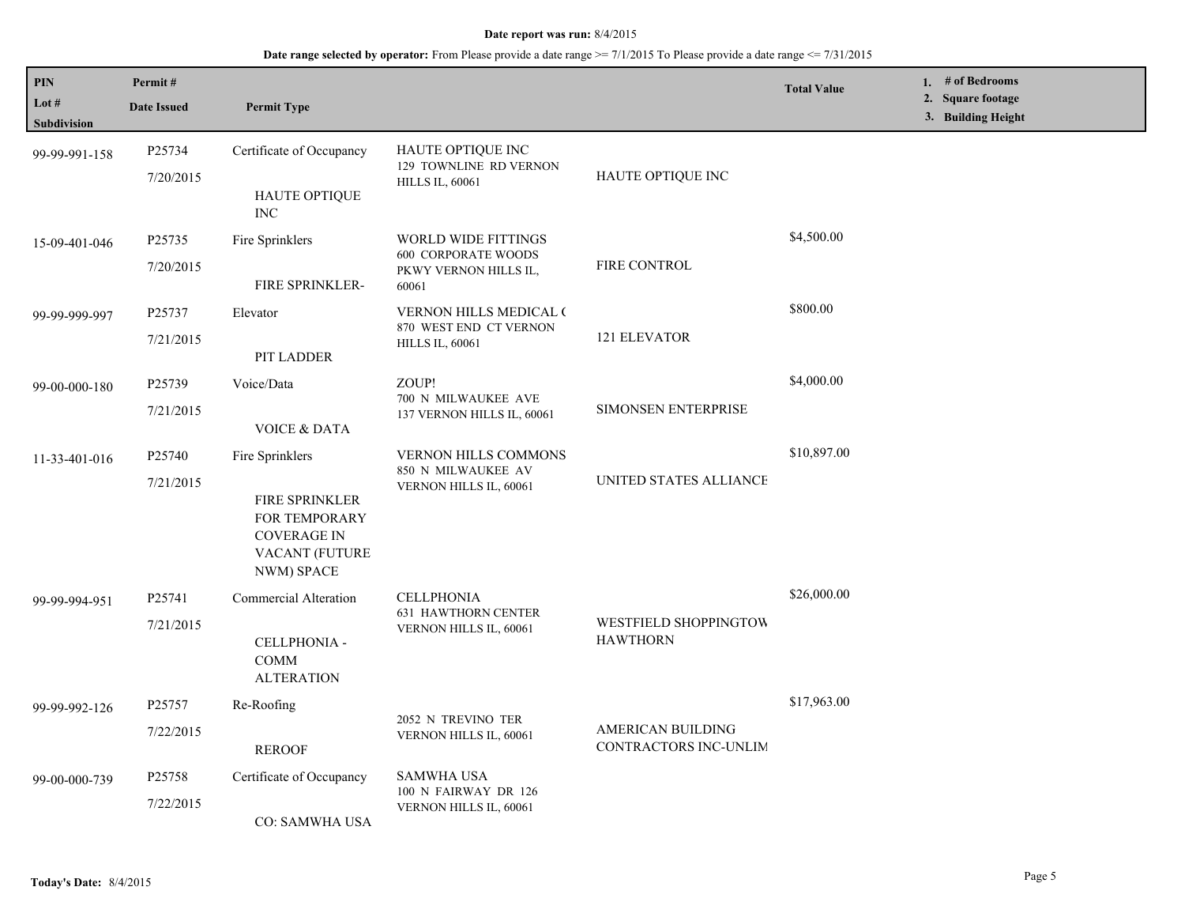| PIN                         | Permit#                                                                                                   |                                                  |                                                                           |                                                         | <b>Total Value</b> | 1. # of Bedrooms                        |
|-----------------------------|-----------------------------------------------------------------------------------------------------------|--------------------------------------------------|---------------------------------------------------------------------------|---------------------------------------------------------|--------------------|-----------------------------------------|
| Lot #<br><b>Subdivision</b> | <b>Date Issued</b>                                                                                        | <b>Permit Type</b>                               |                                                                           |                                                         |                    | 2. Square footage<br>3. Building Height |
| 99-99-991-158               | P25734                                                                                                    | Certificate of Occupancy                         | <b>HAUTE OPTIQUE INC</b>                                                  |                                                         |                    |                                         |
|                             | 7/20/2015                                                                                                 | HAUTE OPTIQUE<br><b>INC</b>                      | 129 TOWNLINE RD VERNON<br><b>HILLS IL, 60061</b>                          | HAUTE OPTIQUE INC                                       |                    |                                         |
| 15-09-401-046               | P <sub>25735</sub>                                                                                        | Fire Sprinklers                                  | <b>WORLD WIDE FITTINGS</b>                                                | FIRE CONTROL                                            | \$4,500.00         |                                         |
|                             | 7/20/2015                                                                                                 | FIRE SPRINKLER-                                  | <b>600 CORPORATE WOODS</b><br>PKWY VERNON HILLS IL,<br>60061              |                                                         |                    |                                         |
| 99-99-999-997               | P25737                                                                                                    | Elevator                                         | <b>VERNON HILLS MEDICAL (</b><br>870 WEST END CT VERNON                   |                                                         | \$800.00           |                                         |
|                             | 7/21/2015                                                                                                 | PIT LADDER                                       | <b>HILLS IL, 60061</b>                                                    | 121 ELEVATOR                                            |                    |                                         |
| 99-00-000-180               | P25739                                                                                                    | Voice/Data                                       | ZOUP!<br>700 N MILWAUKEE AVE<br>137 VERNON HILLS IL, 60061                | <b>SIMONSEN ENTERPRISE</b>                              | \$4,000.00         |                                         |
|                             | 7/21/2015                                                                                                 | <b>VOICE &amp; DATA</b>                          |                                                                           |                                                         |                    |                                         |
| 11-33-401-016               | P <sub>25740</sub>                                                                                        | Fire Sprinklers                                  | VERNON HILLS COMMONS                                                      |                                                         | \$10,897.00        |                                         |
|                             | 7/21/2015<br><b>FIRE SPRINKLER</b><br>FOR TEMPORARY<br><b>COVERAGE IN</b><br>VACANT (FUTURE<br>NWM) SPACE | 850 N MILWAUKEE AV<br>VERNON HILLS IL, 60061     | UNITED STATES ALLIANCE                                                    |                                                         |                    |                                         |
| 99-99-994-951               | P25741                                                                                                    | Commercial Alteration                            | <b>CELLPHONIA</b><br><b>631 HAWTHORN CENTER</b><br>VERNON HILLS IL, 60061 | \$26,000.00<br>WESTFIELD SHOPPINGTOW<br><b>HAWTHORN</b> |                    |                                         |
|                             | 7/21/2015                                                                                                 | CELLPHONIA -<br><b>COMM</b><br><b>ALTERATION</b> |                                                                           |                                                         |                    |                                         |
| 99-99-992-126               | P25757                                                                                                    | Re-Roofing                                       |                                                                           |                                                         | \$17,963.00        |                                         |
|                             | 7/22/2015                                                                                                 | <b>REROOF</b>                                    | 2052 N TREVINO TER<br>VERNON HILLS IL, 60061                              | AMERICAN BUILDING<br>CONTRACTORS INC-UNLIM              |                    |                                         |
| 99-00-000-739               | P <sub>25758</sub>                                                                                        | Certificate of Occupancy                         | <b>SAMWHA USA</b><br>100 N FAIRWAY DR 126                                 |                                                         |                    |                                         |
|                             | 7/22/2015                                                                                                 | CO: SAMWHA USA                                   | VERNON HILLS IL, 60061                                                    |                                                         |                    |                                         |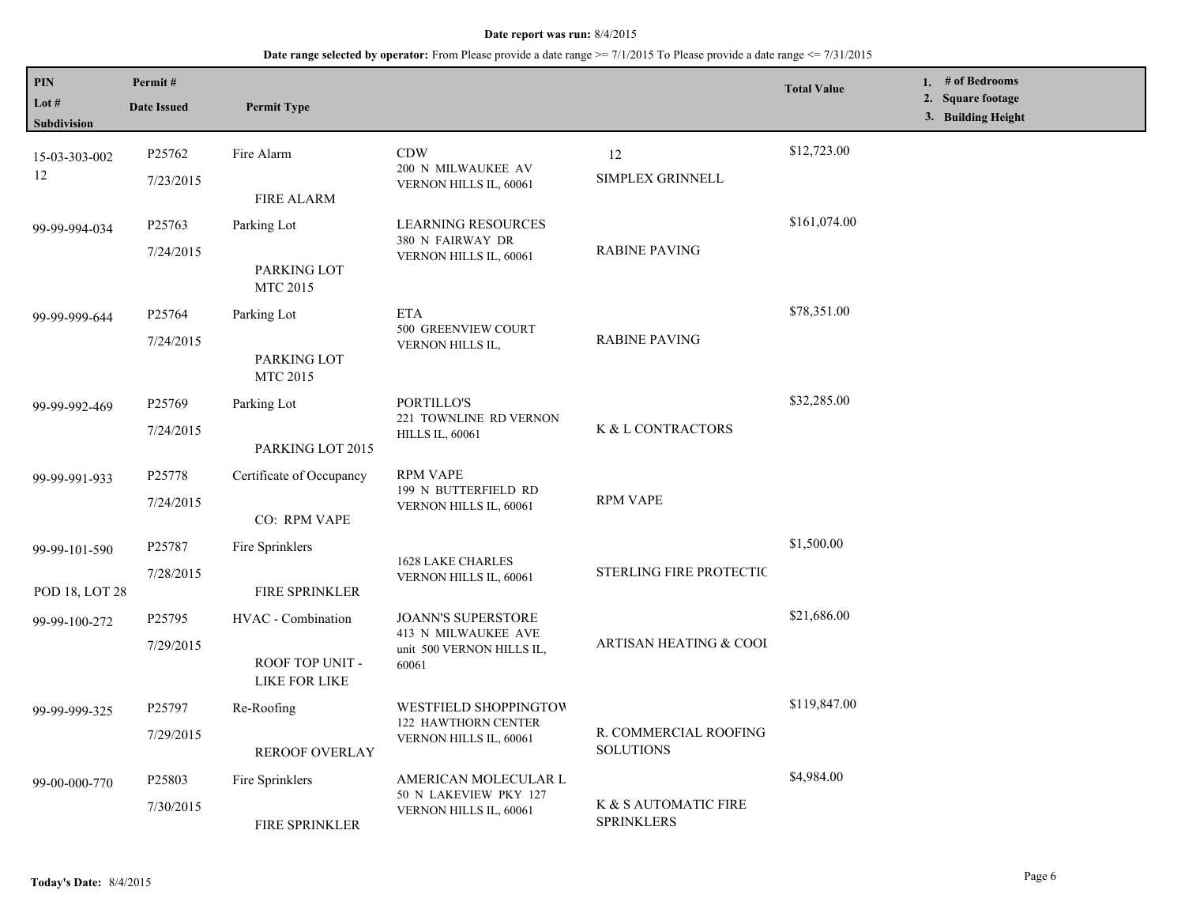| PIN<br>Lot $#$<br>Subdivision   | Permit#<br><b>Date Issued</b>   | <b>Permit Type</b>                                     |                                                                                        |                                           | <b>Total Value</b> | 1. # of Bedrooms<br>2. Square footage<br>3. Building Height |
|---------------------------------|---------------------------------|--------------------------------------------------------|----------------------------------------------------------------------------------------|-------------------------------------------|--------------------|-------------------------------------------------------------|
| 15-03-303-002<br>12             | P <sub>25762</sub><br>7/23/2015 | Fire Alarm<br><b>FIRE ALARM</b>                        | <b>CDW</b><br>200 N MILWAUKEE AV<br>VERNON HILLS IL, 60061                             | 12<br>SIMPLEX GRINNELL                    | \$12,723.00        |                                                             |
| 99-99-994-034                   | P25763<br>7/24/2015             | Parking Lot<br>PARKING LOT<br>MTC 2015                 | <b>LEARNING RESOURCES</b><br>380 N FAIRWAY DR<br>VERNON HILLS IL, 60061                | <b>RABINE PAVING</b>                      | \$161,074.00       |                                                             |
| 99-99-999-644                   | P25764<br>7/24/2015             | Parking Lot<br>PARKING LOT<br><b>MTC 2015</b>          | <b>ETA</b><br>500 GREENVIEW COURT<br>VERNON HILLS IL,                                  | <b>RABINE PAVING</b>                      | \$78,351.00        |                                                             |
| 99-99-992-469                   | P25769<br>7/24/2015             | Parking Lot<br>PARKING LOT 2015                        | PORTILLO'S<br>221 TOWNLINE RD VERNON<br><b>HILLS IL, 60061</b>                         | K & L CONTRACTORS                         | \$32,285.00        |                                                             |
| 99-99-991-933                   | P <sub>25778</sub><br>7/24/2015 | Certificate of Occupancy<br>CO: RPM VAPE               | <b>RPM VAPE</b><br>199 N BUTTERFIELD RD<br>VERNON HILLS IL, 60061                      | <b>RPM VAPE</b>                           |                    |                                                             |
| 99-99-101-590<br>POD 18, LOT 28 | P25787<br>7/28/2015             | Fire Sprinklers<br>FIRE SPRINKLER                      | <b>1628 LAKE CHARLES</b><br>VERNON HILLS IL, 60061                                     | <b>STERLING FIRE PROTECTIC</b>            | \$1,500.00         |                                                             |
| 99-99-100-272                   | P25795<br>7/29/2015             | HVAC - Combination<br>ROOF TOP UNIT -<br>LIKE FOR LIKE | <b>JOANN'S SUPERSTORE</b><br>413 N MILWAUKEE AVE<br>unit 500 VERNON HILLS IL,<br>60061 | ARTISAN HEATING & COOI                    | \$21,686.00        |                                                             |
| 99-99-999-325                   | P25797<br>7/29/2015             | Re-Roofing<br><b>REROOF OVERLAY</b>                    | <b>WESTFIELD SHOPPINGTOW</b><br>122 HAWTHORN CENTER<br>VERNON HILLS IL, 60061          | R. COMMERCIAL ROOFING<br><b>SOLUTIONS</b> | \$119,847.00       |                                                             |
| 99-00-000-770                   | P25803<br>7/30/2015             | Fire Sprinklers<br><b>FIRE SPRINKLER</b>               | AMERICAN MOLECULAR L<br>50 N LAKEVIEW PKY 127<br>VERNON HILLS IL, 60061                | K & S AUTOMATIC FIRE<br><b>SPRINKLERS</b> | \$4,984.00         |                                                             |